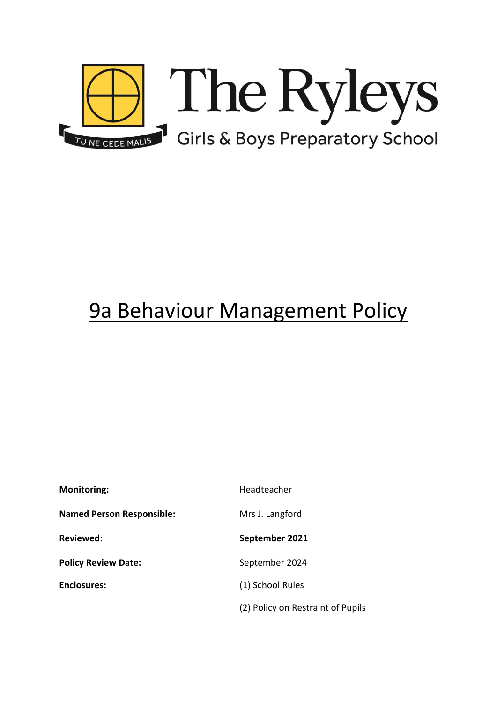

# 9a Behaviour Management Policy

| <b>Monitoring:</b>               | Headteacher                       |
|----------------------------------|-----------------------------------|
| <b>Named Person Responsible:</b> | Mrs J. Langford                   |
| <b>Reviewed:</b>                 | September 2021                    |
| <b>Policy Review Date:</b>       | September 2024                    |
| <b>Enclosures:</b>               | (1) School Rules                  |
|                                  | (2) Policy on Restraint of Pupils |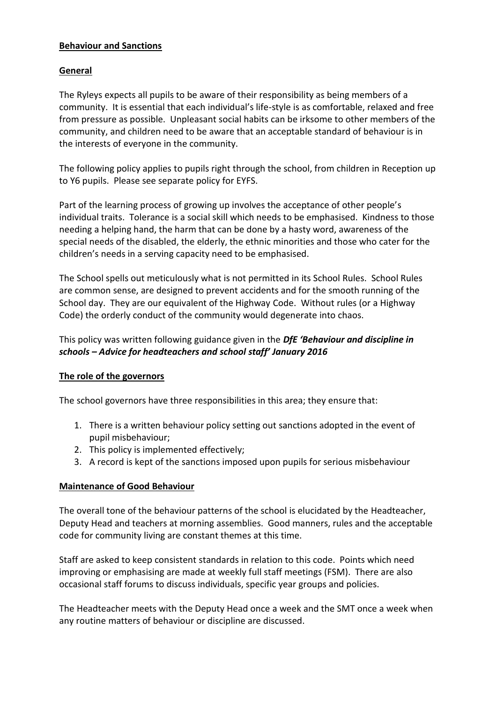#### **Behaviour and Sanctions**

## **General**

The Ryleys expects all pupils to be aware of their responsibility as being members of a community. It is essential that each individual's life-style is as comfortable, relaxed and free from pressure as possible. Unpleasant social habits can be irksome to other members of the community, and children need to be aware that an acceptable standard of behaviour is in the interests of everyone in the community.

The following policy applies to pupils right through the school, from children in Reception up to Y6 pupils. Please see separate policy for EYFS.

Part of the learning process of growing up involves the acceptance of other people's individual traits. Tolerance is a social skill which needs to be emphasised. Kindness to those needing a helping hand, the harm that can be done by a hasty word, awareness of the special needs of the disabled, the elderly, the ethnic minorities and those who cater for the children's needs in a serving capacity need to be emphasised.

The School spells out meticulously what is not permitted in its School Rules. School Rules are common sense, are designed to prevent accidents and for the smooth running of the School day. They are our equivalent of the Highway Code. Without rules (or a Highway Code) the orderly conduct of the community would degenerate into chaos.

## This policy was written following guidance given in the *DfE 'Behaviour and discipline in schools – Advice for headteachers and school staff' January 2016*

#### **The role of the governors**

The school governors have three responsibilities in this area; they ensure that:

- 1. There is a written behaviour policy setting out sanctions adopted in the event of pupil misbehaviour;
- 2. This policy is implemented effectively;
- 3. A record is kept of the sanctions imposed upon pupils for serious misbehaviour

#### **Maintenance of Good Behaviour**

The overall tone of the behaviour patterns of the school is elucidated by the Headteacher, Deputy Head and teachers at morning assemblies. Good manners, rules and the acceptable code for community living are constant themes at this time.

Staff are asked to keep consistent standards in relation to this code. Points which need improving or emphasising are made at weekly full staff meetings (FSM). There are also occasional staff forums to discuss individuals, specific year groups and policies.

The Headteacher meets with the Deputy Head once a week and the SMT once a week when any routine matters of behaviour or discipline are discussed.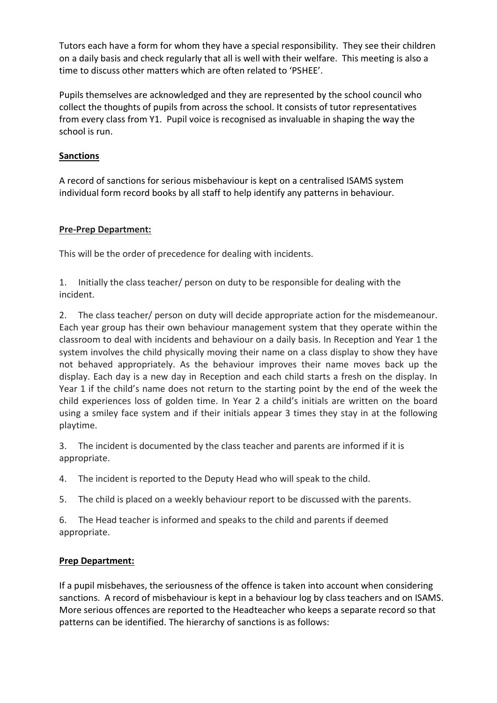Tutors each have a form for whom they have a special responsibility. They see their children on a daily basis and check regularly that all is well with their welfare. This meeting is also a time to discuss other matters which are often related to 'PSHEE'.

Pupils themselves are acknowledged and they are represented by the school council who collect the thoughts of pupils from across the school. It consists of tutor representatives from every class from Y1. Pupil voice is recognised as invaluable in shaping the way the school is run.

## **Sanctions**

A record of sanctions for serious misbehaviour is kept on a centralised ISAMS system individual form record books by all staff to help identify any patterns in behaviour.

## **Pre-Prep Department:**

This will be the order of precedence for dealing with incidents.

1. Initially the class teacher/ person on duty to be responsible for dealing with the incident.

2. The class teacher/ person on duty will decide appropriate action for the misdemeanour. Each year group has their own behaviour management system that they operate within the classroom to deal with incidents and behaviour on a daily basis. In Reception and Year 1 the system involves the child physically moving their name on a class display to show they have not behaved appropriately. As the behaviour improves their name moves back up the display. Each day is a new day in Reception and each child starts a fresh on the display. In Year 1 if the child's name does not return to the starting point by the end of the week the child experiences loss of golden time. In Year 2 a child's initials are written on the board using a smiley face system and if their initials appear 3 times they stay in at the following playtime.

3. The incident is documented by the class teacher and parents are informed if it is appropriate.

4. The incident is reported to the Deputy Head who will speak to the child.

5. The child is placed on a weekly behaviour report to be discussed with the parents.

6. The Head teacher is informed and speaks to the child and parents if deemed appropriate.

## **Prep Department:**

If a pupil misbehaves, the seriousness of the offence is taken into account when considering sanctions. A record of misbehaviour is kept in a behaviour log by class teachers and on ISAMS. More serious offences are reported to the Headteacher who keeps a separate record so that patterns can be identified. The hierarchy of sanctions is as follows: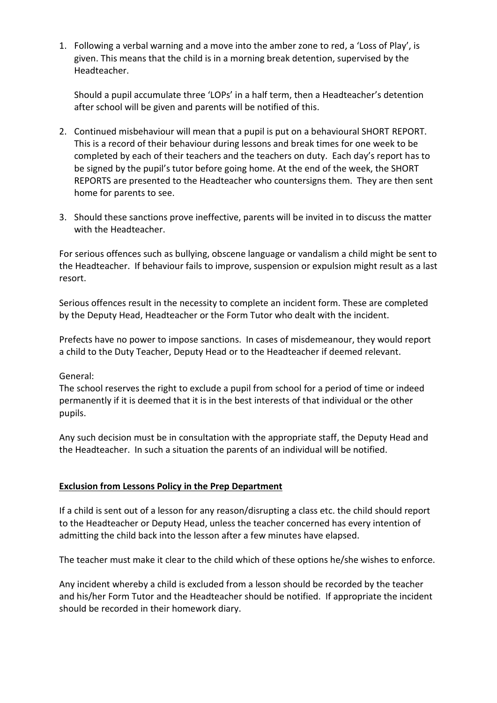1. Following a verbal warning and a move into the amber zone to red, a 'Loss of Play', is given. This means that the child is in a morning break detention, supervised by the Headteacher.

Should a pupil accumulate three 'LOPs' in a half term, then a Headteacher's detention after school will be given and parents will be notified of this.

- 2. Continued misbehaviour will mean that a pupil is put on a behavioural SHORT REPORT. This is a record of their behaviour during lessons and break times for one week to be completed by each of their teachers and the teachers on duty. Each day's report has to be signed by the pupil's tutor before going home. At the end of the week, the SHORT REPORTS are presented to the Headteacher who countersigns them. They are then sent home for parents to see.
- 3. Should these sanctions prove ineffective, parents will be invited in to discuss the matter with the Headteacher.

For serious offences such as bullying, obscene language or vandalism a child might be sent to the Headteacher. If behaviour fails to improve, suspension or expulsion might result as a last resort.

Serious offences result in the necessity to complete an incident form. These are completed by the Deputy Head, Headteacher or the Form Tutor who dealt with the incident.

Prefects have no power to impose sanctions. In cases of misdemeanour, they would report a child to the Duty Teacher, Deputy Head or to the Headteacher if deemed relevant.

## General:

The school reserves the right to exclude a pupil from school for a period of time or indeed permanently if it is deemed that it is in the best interests of that individual or the other pupils.

Any such decision must be in consultation with the appropriate staff, the Deputy Head and the Headteacher. In such a situation the parents of an individual will be notified.

## **Exclusion from Lessons Policy in the Prep Department**

If a child is sent out of a lesson for any reason/disrupting a class etc. the child should report to the Headteacher or Deputy Head, unless the teacher concerned has every intention of admitting the child back into the lesson after a few minutes have elapsed.

The teacher must make it clear to the child which of these options he/she wishes to enforce.

Any incident whereby a child is excluded from a lesson should be recorded by the teacher and his/her Form Tutor and the Headteacher should be notified. If appropriate the incident should be recorded in their homework diary.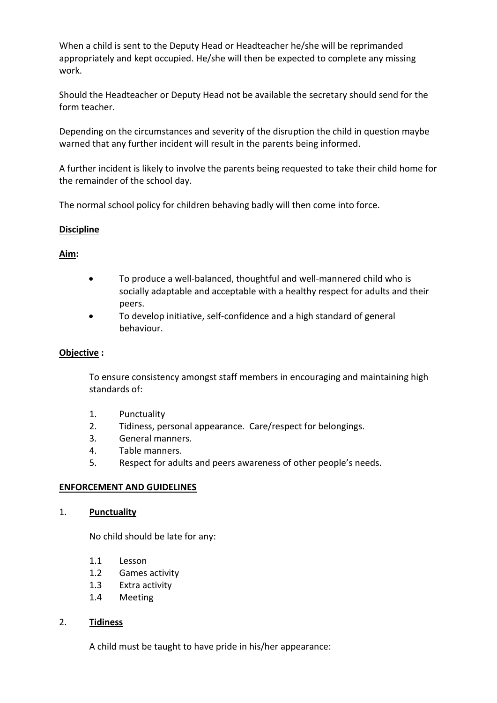When a child is sent to the Deputy Head or Headteacher he/she will be reprimanded appropriately and kept occupied. He/she will then be expected to complete any missing work.

Should the Headteacher or Deputy Head not be available the secretary should send for the form teacher.

Depending on the circumstances and severity of the disruption the child in question maybe warned that any further incident will result in the parents being informed.

A further incident is likely to involve the parents being requested to take their child home for the remainder of the school day.

The normal school policy for children behaving badly will then come into force.

## **Discipline**

## **Aim:**

- To produce a well-balanced, thoughtful and well-mannered child who is socially adaptable and acceptable with a healthy respect for adults and their peers.
- To develop initiative, self-confidence and a high standard of general behaviour.

#### **Objective :**

To ensure consistency amongst staff members in encouraging and maintaining high standards of:

- 1. Punctuality
- 2. Tidiness, personal appearance. Care/respect for belongings.
- 3. General manners.
- 4. Table manners.
- 5. Respect for adults and peers awareness of other people's needs.

#### **ENFORCEMENT AND GUIDELINES**

#### 1. **Punctuality**

No child should be late for any:

- 1.1 Lesson
- 1.2 Games activity
- 1.3 Extra activity
- 1.4 Meeting

#### 2. **Tidiness**

A child must be taught to have pride in his/her appearance: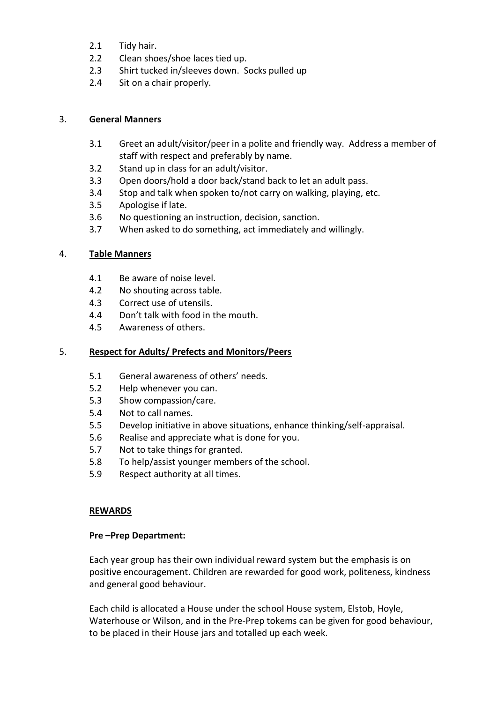- 2.1 Tidy hair.
- 2.2 Clean shoes/shoe laces tied up.
- 2.3 Shirt tucked in/sleeves down. Socks pulled up
- 2.4 Sit on a chair properly.

## 3. **General Manners**

- 3.1 Greet an adult/visitor/peer in a polite and friendly way. Address a member of staff with respect and preferably by name.
- 3.2 Stand up in class for an adult/visitor.
- 3.3 Open doors/hold a door back/stand back to let an adult pass.
- 3.4 Stop and talk when spoken to/not carry on walking, playing, etc.
- 3.5 Apologise if late.
- 3.6 No questioning an instruction, decision, sanction.
- 3.7 When asked to do something, act immediately and willingly.

## 4. **Table Manners**

- 4.1 Be aware of noise level.
- 4.2 No shouting across table.
- 4.3 Correct use of utensils.
- 4.4 Don't talk with food in the mouth.
- 4.5 Awareness of others.

## 5. **Respect for Adults/ Prefects and Monitors/Peers**

- 5.1 General awareness of others' needs.
- 5.2 Help whenever you can.
- 5.3 Show compassion/care.
- 5.4 Not to call names.
- 5.5 Develop initiative in above situations, enhance thinking/self-appraisal.
- 5.6 Realise and appreciate what is done for you.
- 5.7 Not to take things for granted.
- 5.8 To help/assist younger members of the school.
- 5.9 Respect authority at all times.

#### **REWARDS**

#### **Pre –Prep Department:**

Each year group has their own individual reward system but the emphasis is on positive encouragement. Children are rewarded for good work, politeness, kindness and general good behaviour.

Each child is allocated a House under the school House system, Elstob, Hoyle, Waterhouse or Wilson, and in the Pre-Prep tokems can be given for good behaviour, to be placed in their House jars and totalled up each week.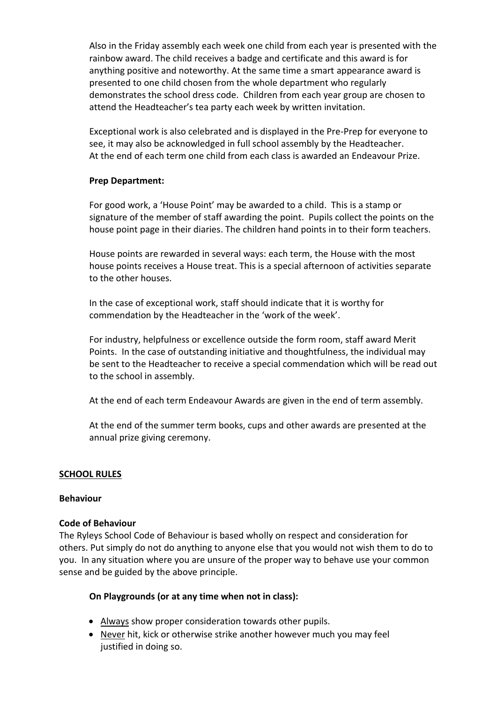Also in the Friday assembly each week one child from each year is presented with the rainbow award. The child receives a badge and certificate and this award is for anything positive and noteworthy. At the same time a smart appearance award is presented to one child chosen from the whole department who regularly demonstrates the school dress code. Children from each year group are chosen to attend the Headteacher's tea party each week by written invitation.

Exceptional work is also celebrated and is displayed in the Pre-Prep for everyone to see, it may also be acknowledged in full school assembly by the Headteacher. At the end of each term one child from each class is awarded an Endeavour Prize.

#### **Prep Department:**

For good work, a 'House Point' may be awarded to a child. This is a stamp or signature of the member of staff awarding the point. Pupils collect the points on the house point page in their diaries. The children hand points in to their form teachers.

House points are rewarded in several ways: each term, the House with the most house points receives a House treat. This is a special afternoon of activities separate to the other houses.

In the case of exceptional work, staff should indicate that it is worthy for commendation by the Headteacher in the 'work of the week'.

For industry, helpfulness or excellence outside the form room, staff award Merit Points. In the case of outstanding initiative and thoughtfulness, the individual may be sent to the Headteacher to receive a special commendation which will be read out to the school in assembly.

At the end of each term Endeavour Awards are given in the end of term assembly.

At the end of the summer term books, cups and other awards are presented at the annual prize giving ceremony.

## **SCHOOL RULES**

#### **Behaviour**

#### **Code of Behaviour**

The Ryleys School Code of Behaviour is based wholly on respect and consideration for others. Put simply do not do anything to anyone else that you would not wish them to do to you. In any situation where you are unsure of the proper way to behave use your common sense and be guided by the above principle.

#### **On Playgrounds (or at any time when not in class):**

- Always show proper consideration towards other pupils.
- Never hit, kick or otherwise strike another however much you may feel justified in doing so.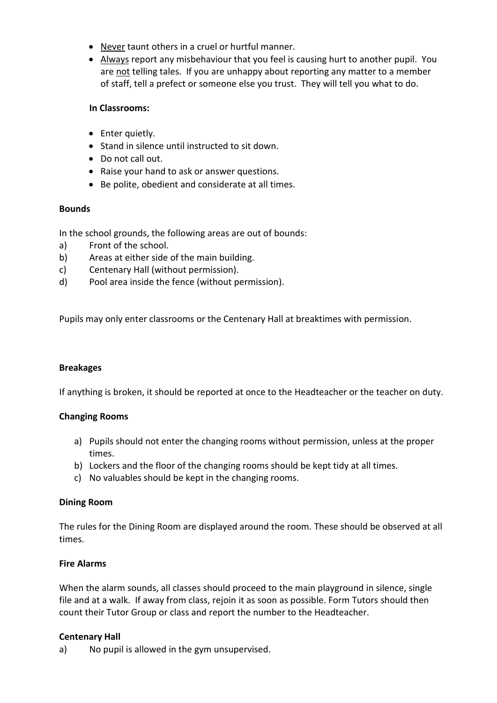- Never taunt others in a cruel or hurtful manner.
- Always report any misbehaviour that you feel is causing hurt to another pupil. You are not telling tales. If you are unhappy about reporting any matter to a member of staff, tell a prefect or someone else you trust. They will tell you what to do.

#### **In Classrooms:**

- Enter quietly.
- Stand in silence until instructed to sit down.
- Do not call out.
- Raise your hand to ask or answer questions.
- Be polite, obedient and considerate at all times.

## **Bounds**

In the school grounds, the following areas are out of bounds:

- a) Front of the school.
- b) Areas at either side of the main building.
- c) Centenary Hall (without permission).
- d) Pool area inside the fence (without permission).

Pupils may only enter classrooms or the Centenary Hall at breaktimes with permission.

#### **Breakages**

If anything is broken, it should be reported at once to the Headteacher or the teacher on duty.

## **Changing Rooms**

- a) Pupils should not enter the changing rooms without permission, unless at the proper times.
- b) Lockers and the floor of the changing rooms should be kept tidy at all times.
- c) No valuables should be kept in the changing rooms.

## **Dining Room**

The rules for the Dining Room are displayed around the room. These should be observed at all times.

## **Fire Alarms**

When the alarm sounds, all classes should proceed to the main playground in silence, single file and at a walk. If away from class, rejoin it as soon as possible. Form Tutors should then count their Tutor Group or class and report the number to the Headteacher.

## **Centenary Hall**

a) No pupil is allowed in the gym unsupervised.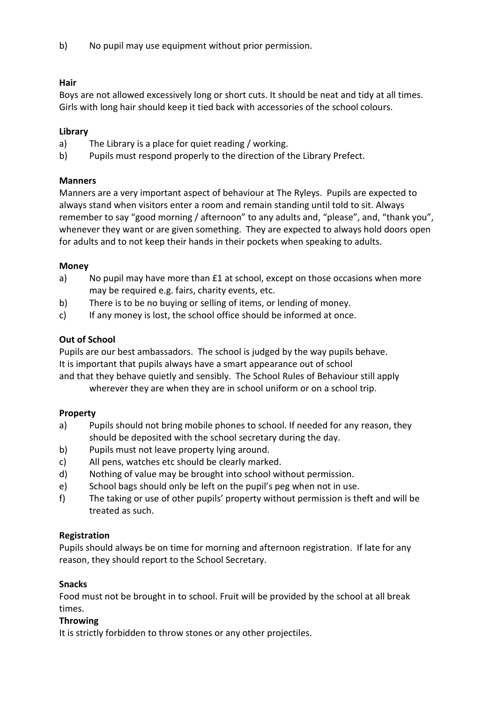b) No pupil may use equipment without prior permission.

## **Hair**

Boys are not allowed excessively long or short cuts. It should be neat and tidy at all times. Girls with long hair should keep it tied back with accessories of the school colours.

## **Library**

- a) The Library is a place for quiet reading / working.
- b) Pupils must respond properly to the direction of the Library Prefect.

## **Manners**

Manners are a very important aspect of behaviour at The Ryleys. Pupils are expected to always stand when visitors enter a room and remain standing until told to sit. Always remember to say "good morning / afternoon" to any adults and, "please", and, "thank you", whenever they want or are given something. They are expected to always hold doors open for adults and to not keep their hands in their pockets when speaking to adults.

## **Money**

- a) No pupil may have more than £1 at school, except on those occasions when more may be required e.g. fairs, charity events, etc.
- b) There is to be no buying or selling of items, or lending of money.
- c) If any money is lost, the school office should be informed at once.

## **Out of School**

Pupils are our best ambassadors. The school is judged by the way pupils behave. It is important that pupils always have a smart appearance out of school

and that they behave quietly and sensibly. The School Rules of Behaviour still apply wherever they are when they are in school uniform or on a school trip.

## **Property**

- a) Pupils should not bring mobile phones to school. If needed for any reason, they should be deposited with the school secretary during the day.
- b) Pupils must not leave property lying around.
- c) All pens, watches etc should be clearly marked.
- d) Nothing of value may be brought into school without permission.
- e) School bags should only be left on the pupil's peg when not in use.
- f) The taking or use of other pupils' property without permission is theft and will be treated as such.

## **Registration**

Pupils should always be on time for morning and afternoon registration. If late for any reason, they should report to the School Secretary.

## **Snacks**

Food must not be brought in to school. Fruit will be provided by the school at all break times.

## **Throwing**

It is strictly forbidden to throw stones or any other projectiles.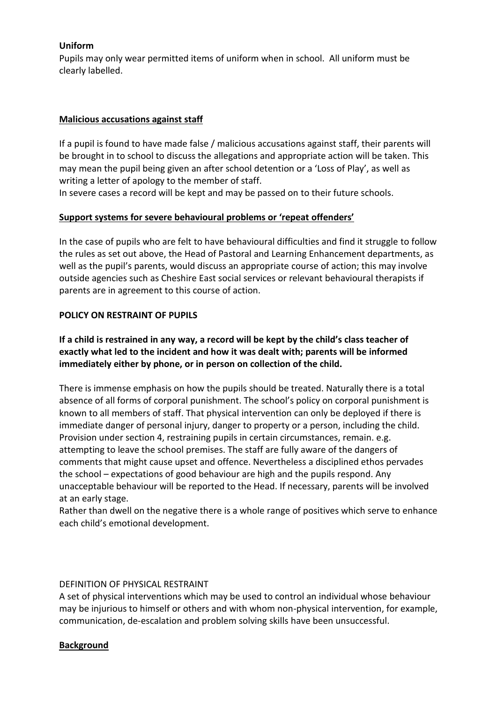## **Uniform**

Pupils may only wear permitted items of uniform when in school. All uniform must be clearly labelled.

#### **Malicious accusations against staff**

If a pupil is found to have made false / malicious accusations against staff, their parents will be brought in to school to discuss the allegations and appropriate action will be taken. This may mean the pupil being given an after school detention or a 'Loss of Play', as well as writing a letter of apology to the member of staff.

In severe cases a record will be kept and may be passed on to their future schools.

## **Support systems for severe behavioural problems or 'repeat offenders'**

In the case of pupils who are felt to have behavioural difficulties and find it struggle to follow the rules as set out above, the Head of Pastoral and Learning Enhancement departments, as well as the pupil's parents, would discuss an appropriate course of action; this may involve outside agencies such as Cheshire East social services or relevant behavioural therapists if parents are in agreement to this course of action.

#### **POLICY ON RESTRAINT OF PUPILS**

## **If a child is restrained in any way, a record will be kept by the child's class teacher of exactly what led to the incident and how it was dealt with; parents will be informed immediately either by phone, or in person on collection of the child.**

There is immense emphasis on how the pupils should be treated. Naturally there is a total absence of all forms of corporal punishment. The school's policy on corporal punishment is known to all members of staff. That physical intervention can only be deployed if there is immediate danger of personal injury, danger to property or a person, including the child. Provision under section 4, restraining pupils in certain circumstances, remain. e.g. attempting to leave the school premises. The staff are fully aware of the dangers of comments that might cause upset and offence. Nevertheless a disciplined ethos pervades the school – expectations of good behaviour are high and the pupils respond. Any unacceptable behaviour will be reported to the Head. If necessary, parents will be involved at an early stage.

Rather than dwell on the negative there is a whole range of positives which serve to enhance each child's emotional development.

#### DEFINITION OF PHYSICAL RESTRAINT

A set of physical interventions which may be used to control an individual whose behaviour may be injurious to himself or others and with whom non-physical intervention, for example, communication, de-escalation and problem solving skills have been unsuccessful.

#### **Background**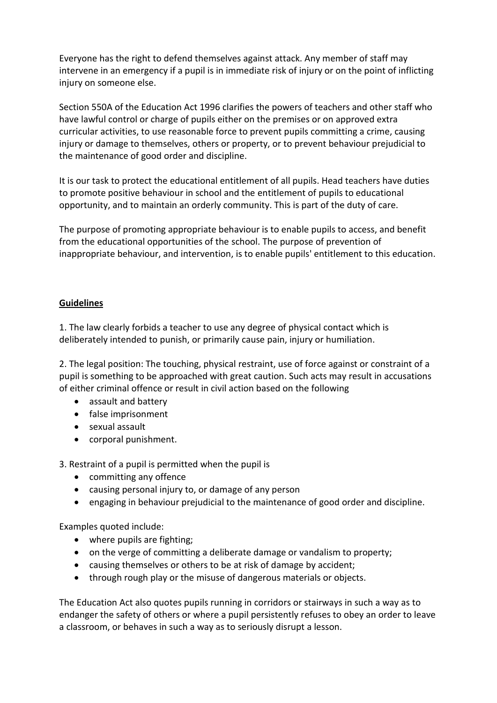Everyone has the right to defend themselves against attack. Any member of staff may intervene in an emergency if a pupil is in immediate risk of injury or on the point of inflicting injury on someone else.

Section 550A of the Education Act 1996 clarifies the powers of teachers and other staff who have lawful control or charge of pupils either on the premises or on approved extra curricular activities, to use reasonable force to prevent pupils committing a crime, causing injury or damage to themselves, others or property, or to prevent behaviour prejudicial to the maintenance of good order and discipline.

It is our task to protect the educational entitlement of all pupils. Head teachers have duties to promote positive behaviour in school and the entitlement of pupils to educational opportunity, and to maintain an orderly community. This is part of the duty of care.

The purpose of promoting appropriate behaviour is to enable pupils to access, and benefit from the educational opportunities of the school. The purpose of prevention of inappropriate behaviour, and intervention, is to enable pupils' entitlement to this education.

## **Guidelines**

1. The law clearly forbids a teacher to use any degree of physical contact which is deliberately intended to punish, or primarily cause pain, injury or humiliation.

2. The legal position: The touching, physical restraint, use of force against or constraint of a pupil is something to be approached with great caution. Such acts may result in accusations of either criminal offence or result in civil action based on the following

- assault and battery
- false imprisonment
- sexual assault
- corporal punishment.

3. Restraint of a pupil is permitted when the pupil is

- committing any offence
- causing personal injury to, or damage of any person
- engaging in behaviour prejudicial to the maintenance of good order and discipline.

Examples quoted include:

- where pupils are fighting;
- on the verge of committing a deliberate damage or vandalism to property;
- causing themselves or others to be at risk of damage by accident;
- through rough play or the misuse of dangerous materials or objects.

The Education Act also quotes pupils running in corridors or stairways in such a way as to endanger the safety of others or where a pupil persistently refuses to obey an order to leave a classroom, or behaves in such a way as to seriously disrupt a lesson.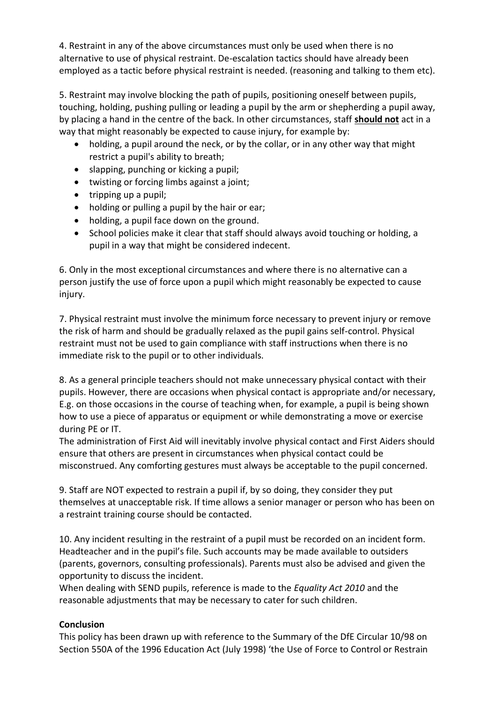4. Restraint in any of the above circumstances must only be used when there is no alternative to use of physical restraint. De-escalation tactics should have already been employed as a tactic before physical restraint is needed. (reasoning and talking to them etc).

5. Restraint may involve blocking the path of pupils, positioning oneself between pupils, touching, holding, pushing pulling or leading a pupil by the arm or shepherding a pupil away, by placing a hand in the centre of the back. In other circumstances, staff **should not** act in a way that might reasonably be expected to cause injury, for example by:

- holding, a pupil around the neck, or by the collar, or in any other way that might restrict a pupil's ability to breath;
- slapping, punching or kicking a pupil;
- twisting or forcing limbs against a joint;
- $\bullet$  tripping up a pupil;
- holding or pulling a pupil by the hair or ear;
- holding, a pupil face down on the ground.
- School policies make it clear that staff should always avoid touching or holding, a pupil in a way that might be considered indecent.

6. Only in the most exceptional circumstances and where there is no alternative can a person justify the use of force upon a pupil which might reasonably be expected to cause injury.

7. Physical restraint must involve the minimum force necessary to prevent injury or remove the risk of harm and should be gradually relaxed as the pupil gains self-control. Physical restraint must not be used to gain compliance with staff instructions when there is no immediate risk to the pupil or to other individuals.

8. As a general principle teachers should not make unnecessary physical contact with their pupils. However, there are occasions when physical contact is appropriate and/or necessary, E.g. on those occasions in the course of teaching when, for example, a pupil is being shown how to use a piece of apparatus or equipment or while demonstrating a move or exercise during PE or IT.

The administration of First Aid will inevitably involve physical contact and First Aiders should ensure that others are present in circumstances when physical contact could be misconstrued. Any comforting gestures must always be acceptable to the pupil concerned.

9. Staff are NOT expected to restrain a pupil if, by so doing, they consider they put themselves at unacceptable risk. If time allows a senior manager or person who has been on a restraint training course should be contacted.

10. Any incident resulting in the restraint of a pupil must be recorded on an incident form. Headteacher and in the pupil's file. Such accounts may be made available to outsiders (parents, governors, consulting professionals). Parents must also be advised and given the opportunity to discuss the incident.

When dealing with SEND pupils, reference is made to the *Equality Act 2010* and the reasonable adjustments that may be necessary to cater for such children.

## **Conclusion**

This policy has been drawn up with reference to the Summary of the DfE Circular 10/98 on Section 550A of the 1996 Education Act (July 1998) 'the Use of Force to Control or Restrain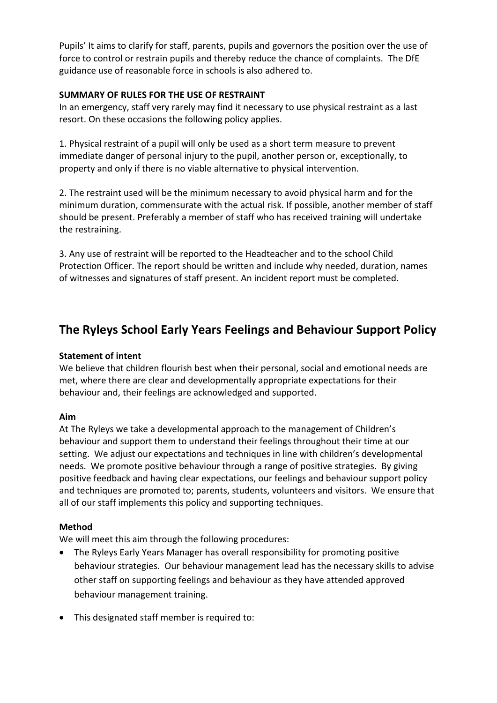Pupils' It aims to clarify for staff, parents, pupils and governors the position over the use of force to control or restrain pupils and thereby reduce the chance of complaints. The DfE guidance use of reasonable force in schools is also adhered to.

#### **SUMMARY OF RULES FOR THE USE OF RESTRAINT**

In an emergency, staff very rarely may find it necessary to use physical restraint as a last resort. On these occasions the following policy applies.

1. Physical restraint of a pupil will only be used as a short term measure to prevent immediate danger of personal injury to the pupil, another person or, exceptionally, to property and only if there is no viable alternative to physical intervention.

2. The restraint used will be the minimum necessary to avoid physical harm and for the minimum duration, commensurate with the actual risk. If possible, another member of staff should be present. Preferably a member of staff who has received training will undertake the restraining.

3. Any use of restraint will be reported to the Headteacher and to the school Child Protection Officer. The report should be written and include why needed, duration, names of witnesses and signatures of staff present. An incident report must be completed.

## **The Ryleys School Early Years Feelings and Behaviour Support Policy**

#### **Statement of intent**

We believe that children flourish best when their personal, social and emotional needs are met, where there are clear and developmentally appropriate expectations for their behaviour and, their feelings are acknowledged and supported.

#### **Aim**

At The Ryleys we take a developmental approach to the management of Children's behaviour and support them to understand their feelings throughout their time at our setting. We adjust our expectations and techniques in line with children's developmental needs. We promote positive behaviour through a range of positive strategies. By giving positive feedback and having clear expectations, our feelings and behaviour support policy and techniques are promoted to; parents, students, volunteers and visitors. We ensure that all of our staff implements this policy and supporting techniques.

## **Method**

We will meet this aim through the following procedures:

- The Ryleys Early Years Manager has overall responsibility for promoting positive behaviour strategies. Our behaviour management lead has the necessary skills to advise other staff on supporting feelings and behaviour as they have attended approved behaviour management training.
- This designated staff member is required to: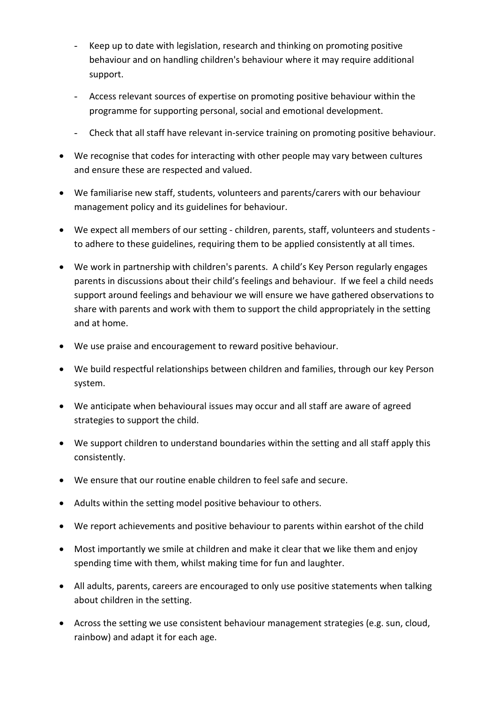- Keep up to date with legislation, research and thinking on promoting positive behaviour and on handling children's behaviour where it may require additional support.
- Access relevant sources of expertise on promoting positive behaviour within the programme for supporting personal, social and emotional development.
- Check that all staff have relevant in-service training on promoting positive behaviour.
- We recognise that codes for interacting with other people may vary between cultures and ensure these are respected and valued.
- We familiarise new staff, students, volunteers and parents/carers with our behaviour management policy and its guidelines for behaviour.
- We expect all members of our setting children, parents, staff, volunteers and students to adhere to these guidelines, requiring them to be applied consistently at all times.
- We work in partnership with children's parents. A child's Key Person regularly engages parents in discussions about their child's feelings and behaviour. If we feel a child needs support around feelings and behaviour we will ensure we have gathered observations to share with parents and work with them to support the child appropriately in the setting and at home.
- We use praise and encouragement to reward positive behaviour.
- We build respectful relationships between children and families, through our key Person system.
- We anticipate when behavioural issues may occur and all staff are aware of agreed strategies to support the child.
- We support children to understand boundaries within the setting and all staff apply this consistently.
- We ensure that our routine enable children to feel safe and secure.
- Adults within the setting model positive behaviour to others.
- We report achievements and positive behaviour to parents within earshot of the child
- Most importantly we smile at children and make it clear that we like them and enjoy spending time with them, whilst making time for fun and laughter.
- All adults, parents, careers are encouraged to only use positive statements when talking about children in the setting.
- Across the setting we use consistent behaviour management strategies (e.g. sun, cloud, rainbow) and adapt it for each age.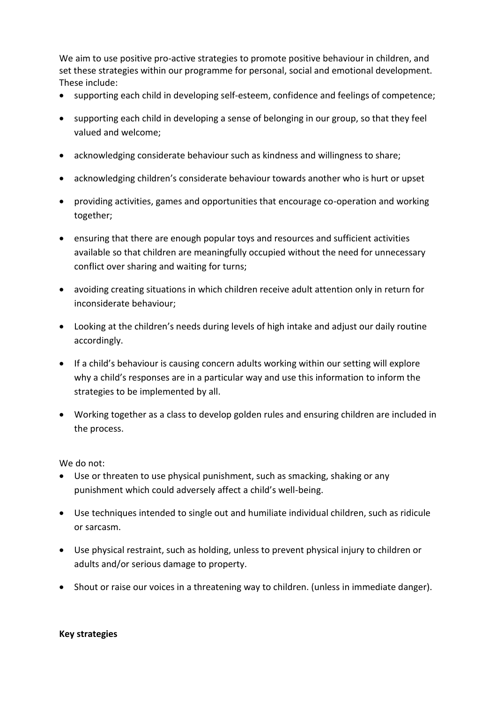We aim to use positive pro-active strategies to promote positive behaviour in children, and set these strategies within our programme for personal, social and emotional development. These include:

- supporting each child in developing self-esteem, confidence and feelings of competence;
- supporting each child in developing a sense of belonging in our group, so that they feel valued and welcome;
- acknowledging considerate behaviour such as kindness and willingness to share;
- acknowledging children's considerate behaviour towards another who is hurt or upset
- providing activities, games and opportunities that encourage co-operation and working together;
- ensuring that there are enough popular toys and resources and sufficient activities available so that children are meaningfully occupied without the need for unnecessary conflict over sharing and waiting for turns;
- avoiding creating situations in which children receive adult attention only in return for inconsiderate behaviour;
- Looking at the children's needs during levels of high intake and adjust our daily routine accordingly.
- If a child's behaviour is causing concern adults working within our setting will explore why a child's responses are in a particular way and use this information to inform the strategies to be implemented by all.
- Working together as a class to develop golden rules and ensuring children are included in the process.

We do not:

- Use or threaten to use physical punishment, such as smacking, shaking or any punishment which could adversely affect a child's well-being.
- Use techniques intended to single out and humiliate individual children, such as ridicule or sarcasm.
- Use physical restraint, such as holding, unless to prevent physical injury to children or adults and/or serious damage to property.
- Shout or raise our voices in a threatening way to children. (unless in immediate danger).

#### **Key strategies**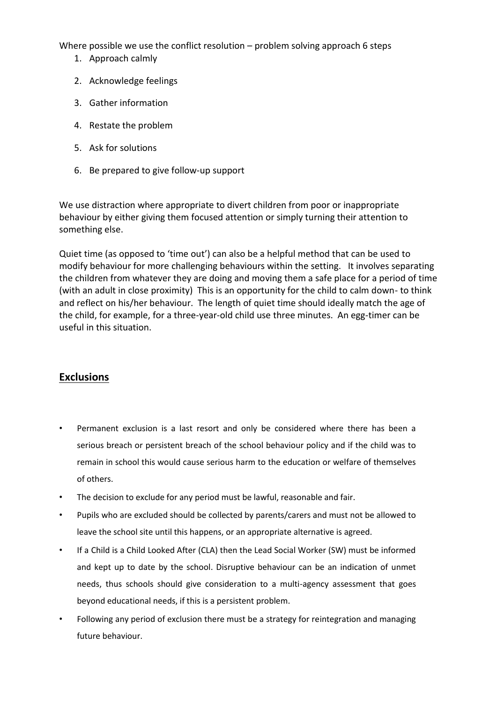Where possible we use the conflict resolution – problem solving approach 6 steps

- 1. Approach calmly
- 2. Acknowledge feelings
- 3. Gather information
- 4. Restate the problem
- 5. Ask for solutions
- 6. Be prepared to give follow-up support

We use distraction where appropriate to divert children from poor or inappropriate behaviour by either giving them focused attention or simply turning their attention to something else.

Quiet time (as opposed to 'time out') can also be a helpful method that can be used to modify behaviour for more challenging behaviours within the setting. It involves separating the children from whatever they are doing and moving them a safe place for a period of time (with an adult in close proximity) This is an opportunity for the child to calm down- to think and reflect on his/her behaviour. The length of quiet time should ideally match the age of the child, for example, for a three-year-old child use three minutes. An egg-timer can be useful in this situation.

## **Exclusions**

- Permanent exclusion is a last resort and only be considered where there has been a serious breach or persistent breach of the school behaviour policy and if the child was to remain in school this would cause serious harm to the education or welfare of themselves of others.
- The decision to exclude for any period must be lawful, reasonable and fair.
- Pupils who are excluded should be collected by parents/carers and must not be allowed to leave the school site until this happens, or an appropriate alternative is agreed.
- If a Child is a Child Looked After (CLA) then the Lead Social Worker (SW) must be informed and kept up to date by the school. Disruptive behaviour can be an indication of unmet needs, thus schools should give consideration to a multi-agency assessment that goes beyond educational needs, if this is a persistent problem.
- Following any period of exclusion there must be a strategy for reintegration and managing future behaviour.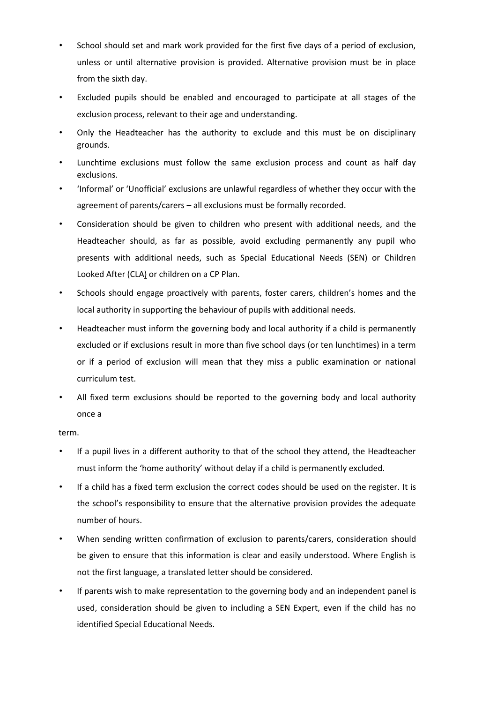- School should set and mark work provided for the first five days of a period of exclusion, unless or until alternative provision is provided. Alternative provision must be in place from the sixth day.
- Excluded pupils should be enabled and encouraged to participate at all stages of the exclusion process, relevant to their age and understanding.
- Only the Headteacher has the authority to exclude and this must be on disciplinary grounds.
- Lunchtime exclusions must follow the same exclusion process and count as half day exclusions.
- 'Informal' or 'Unofficial' exclusions are unlawful regardless of whether they occur with the agreement of parents/carers – all exclusions must be formally recorded.
- Consideration should be given to children who present with additional needs, and the Headteacher should, as far as possible, avoid excluding permanently any pupil who presents with additional needs, such as Special Educational Needs (SEN) or Children Looked After (CLA) or children on a CP Plan.
- Schools should engage proactively with parents, foster carers, children's homes and the local authority in supporting the behaviour of pupils with additional needs.
- Headteacher must inform the governing body and local authority if a child is permanently excluded or if exclusions result in more than five school days (or ten lunchtimes) in a term or if a period of exclusion will mean that they miss a public examination or national curriculum test.
- All fixed term exclusions should be reported to the governing body and local authority once a

#### term.

- If a pupil lives in a different authority to that of the school they attend, the Headteacher must inform the 'home authority' without delay if a child is permanently excluded.
- If a child has a fixed term exclusion the correct codes should be used on the register. It is the school's responsibility to ensure that the alternative provision provides the adequate number of hours.
- When sending written confirmation of exclusion to parents/carers, consideration should be given to ensure that this information is clear and easily understood. Where English is not the first language, a translated letter should be considered.
- If parents wish to make representation to the governing body and an independent panel is used, consideration should be given to including a SEN Expert, even if the child has no identified Special Educational Needs.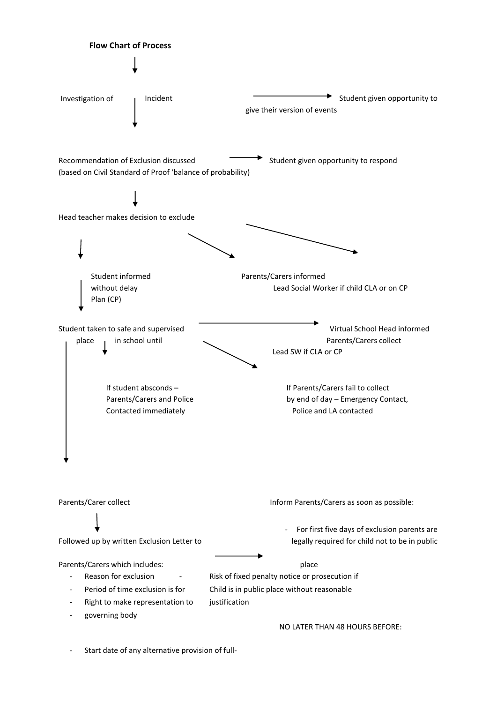

- Start date of any alternative provision of full-